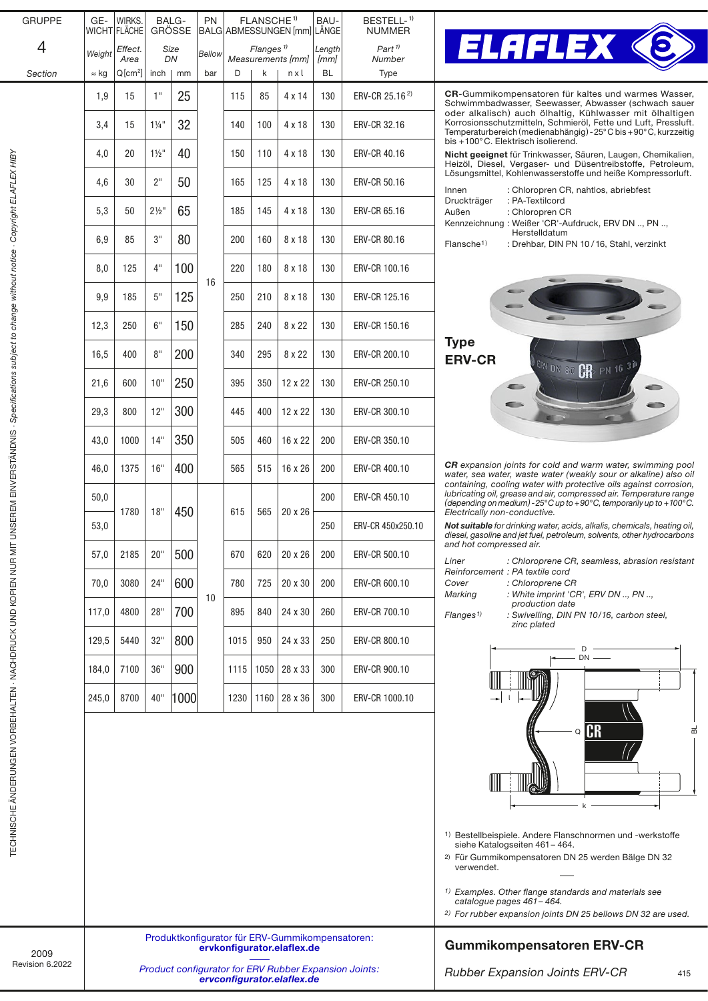| <b>GRUPPE</b>                                                                                     | GE-                                                                                 | WIRKS.<br>WICHT FLÄCHE | BALG-            | <b>GRÖSSE</b> | <b>PN</b> |            | FLANSCHE <sup>1)</sup> | BALG ABMESSUNGEN [mm] LÄNGE                                                   | BAU-                                                                                                                                                                      | BESTELL- <sup>1)</sup><br><b>NUMMER</b>                                                                                                                                  |                                                                                                                                                                                                            |  |  |  |  |  |  |  |
|---------------------------------------------------------------------------------------------------|-------------------------------------------------------------------------------------|------------------------|------------------|---------------|-----------|------------|------------------------|-------------------------------------------------------------------------------|---------------------------------------------------------------------------------------------------------------------------------------------------------------------------|--------------------------------------------------------------------------------------------------------------------------------------------------------------------------|------------------------------------------------------------------------------------------------------------------------------------------------------------------------------------------------------------|--|--|--|--|--|--|--|
| 4                                                                                                 | Weight                                                                              | Effect.<br>Area        |                  | Size<br>DN    | Bellow    | D          | Flanges $\frac{1}{2}$  | Measurements [mm]                                                             | Length<br>[mm]                                                                                                                                                            | $Part$ <sup><math>1</math></sup><br>Number                                                                                                                               | <b>ELAFLEX &lt;</b>                                                                                                                                                                                        |  |  |  |  |  |  |  |
| Section                                                                                           | $\approx$ kg                                                                        | $Q[cm^2]$              | inch             | mm            | bar       |            | k                      | nxl                                                                           | <b>BL</b>                                                                                                                                                                 | Type                                                                                                                                                                     |                                                                                                                                                                                                            |  |  |  |  |  |  |  |
|                                                                                                   | 1,9                                                                                 | 15                     | 1"               | 25            |           | 115        | 85                     | 4 x 14                                                                        | 130                                                                                                                                                                       | ERV-CR 25.16 <sup>2)</sup>                                                                                                                                               | <b>CR-</b> Gummikompensatoren für kaltes und warmes Wasser.<br>Schwimmbadwasser, Seewasser, Abwasser (schwach sauer<br>oder alkalisch) auch ölhaltig, Kühlwasser mit ölhaltigen                            |  |  |  |  |  |  |  |
|                                                                                                   | 3,4                                                                                 | 15                     | $1\frac{1}{4}$ " | 32            |           | 140<br>100 | 4 x 18                 | 130                                                                           | ERV-CR 32.16                                                                                                                                                              | Korrosionsschutzmitteln, Schmieröl, Fette und Luft, Pressluft.<br>Temperaturbereich (medienabhängig) - 25°C bis + 90°C, kurzzeitig<br>bis +100°C. Elektrisch isolierend. |                                                                                                                                                                                                            |  |  |  |  |  |  |  |
|                                                                                                   | 4,0                                                                                 | 20                     | $1\frac{1}{2}$ " | 40            |           | 150        | 110                    | 4 x 18                                                                        | 130                                                                                                                                                                       | ERV-CR 40.16                                                                                                                                                             | Nicht geeignet für Trinkwasser, Säuren, Laugen, Chemikalien,<br>Heizöl, Diesel, Vergaser- und Düsentreibstoffe, Petroleum,                                                                                 |  |  |  |  |  |  |  |
|                                                                                                   | 4,6                                                                                 | 30                     | 2"               | 50            |           | 165        | 125                    | 4 x 18                                                                        | 130                                                                                                                                                                       | ERV-CR 50.16                                                                                                                                                             | Lösungsmittel, Kohlenwasserstoffe und heiße Kompressorluft.<br>: Chloropren CR, nahtlos, abriebfest<br>Innen                                                                                               |  |  |  |  |  |  |  |
| UNSEREM EINVERSTANDNIS · Specifications subject to change without notice · Copyright ELAFLEX HIBY | 5,3                                                                                 | 50                     | $2\frac{1}{2}$ " | 65            |           | 185        | 145                    | 4 x 18                                                                        | 130                                                                                                                                                                       | ERV-CR 65.16                                                                                                                                                             | : PA-Textilcord<br>Druckträger<br>Außen<br>: Chloropren CR                                                                                                                                                 |  |  |  |  |  |  |  |
|                                                                                                   | 6,9                                                                                 | 85                     | 3"               | 80            |           | 200        | 160                    | 8 x 18                                                                        | 130                                                                                                                                                                       | <b>ERV-CR 80.16</b>                                                                                                                                                      | Kennzeichnung: Weißer 'CR'-Aufdruck, ERV DN , PN ,<br>Herstelldatum<br>Flansche <sup>1)</sup><br>: Drehbar, DIN PN 10/16, Stahl, verzinkt                                                                  |  |  |  |  |  |  |  |
|                                                                                                   | 8,0                                                                                 | 125                    | 4"               | 100           | 16        | 220        | 180                    | 8 x 18                                                                        | 130                                                                                                                                                                       | ERV-CR 100.16                                                                                                                                                            |                                                                                                                                                                                                            |  |  |  |  |  |  |  |
|                                                                                                   | 9,9                                                                                 | 185                    | 5"               | 125           |           | 250        | 210                    | 8 x 18                                                                        | 130                                                                                                                                                                       | ERV-CR 125.16                                                                                                                                                            |                                                                                                                                                                                                            |  |  |  |  |  |  |  |
|                                                                                                   | 12,3                                                                                | 250                    | 6"               | 150           |           | 285        | 240                    | 8 x 22                                                                        | 130                                                                                                                                                                       | ERV-CR 150.16                                                                                                                                                            | <b>Type</b>                                                                                                                                                                                                |  |  |  |  |  |  |  |
|                                                                                                   | 8"<br>16,5<br>400<br>21,6<br>600<br>10"                                             |                        |                  | 200           |           | 340        | 295                    | 8 x 22                                                                        | 130                                                                                                                                                                       | ERV-CR 200.10                                                                                                                                                            | <b>ERV-CR</b><br>ERV DN 80 CR PN 16 3 <sup>0</sup>                                                                                                                                                         |  |  |  |  |  |  |  |
|                                                                                                   |                                                                                     |                        | 250              |               | 395       | 350        | 12 x 22                | 130                                                                           | ERV-CR 250.10                                                                                                                                                             | G                                                                                                                                                                        |                                                                                                                                                                                                            |  |  |  |  |  |  |  |
|                                                                                                   | 29,3                                                                                | 800                    | 12"              | 300           |           | 445        | 400                    | 12 x 22                                                                       | 130                                                                                                                                                                       | ERV-CR 300.10                                                                                                                                                            |                                                                                                                                                                                                            |  |  |  |  |  |  |  |
|                                                                                                   | 43,0                                                                                | 1000                   | 14"              | 350           |           | 505        | 460                    | 16 x 22                                                                       | 200                                                                                                                                                                       | ERV-CR 350.10                                                                                                                                                            |                                                                                                                                                                                                            |  |  |  |  |  |  |  |
|                                                                                                   | 46,0                                                                                | 1375                   | 16"              | 400           |           | 565        | 515                    | 16 x 26                                                                       | 200                                                                                                                                                                       | ERV-CR 400.10                                                                                                                                                            | <b>CR</b> expansion joints for cold and warm water, swimming pool<br>water, sea water, waste water (weakly sour or alkaline) also oil<br>containing, cooling water with protective oils against corrosion, |  |  |  |  |  |  |  |
|                                                                                                   | 50,0                                                                                | 1780                   | 18"              | 450           |           | 615        | 565                    | 20 x 26                                                                       | 200                                                                                                                                                                       | ERV-CR 450.10                                                                                                                                                            | lubricating oil, grease and air, compressed air. Temperature range<br>(depending on medium) - 25°C up to +90°C, temporarily up to +100°C.<br>Electrically non-conductive.                                  |  |  |  |  |  |  |  |
|                                                                                                   | 53,0                                                                                |                        |                  |               |           |            |                        |                                                                               | 250                                                                                                                                                                       | ERV-CR 450x250.10                                                                                                                                                        | Not suitable for drinking water, acids, alkalis, chemicals, heating oil,<br>diesel, gasoline and jet fuel, petroleum, solvents, other hydrocarbons                                                         |  |  |  |  |  |  |  |
|                                                                                                   | 57,0                                                                                | 2185                   | 20"              | 500           |           | 670        | 620                    | 20 x 26                                                                       | 200                                                                                                                                                                       | ERV-CR 500.10                                                                                                                                                            | and hot compressed air.<br>Liner<br>: Chloroprene CR, seamless, abrasion resistant<br>Reinforcement : PA textile cord                                                                                      |  |  |  |  |  |  |  |
|                                                                                                   | 70,0                                                                                | 3080                   | 24"              | 600           | 10        | 780        | 725                    | 20 x 30                                                                       | 200                                                                                                                                                                       | ERV-CR 600.10                                                                                                                                                            | Cover<br>: Chloroprene CR<br>Marking<br>: White imprint 'CR', ERV DN , PN ,                                                                                                                                |  |  |  |  |  |  |  |
|                                                                                                   | 117,0                                                                               | 4800                   | 28"              | 700           |           | 895        | 840                    | 24 x 30                                                                       | 260                                                                                                                                                                       | ERV-CR 700.10                                                                                                                                                            | production date<br>: Swivelling, DIN PN 10/16, carbon steel,<br>Flanges <sup>1</sup><br>zinc plated                                                                                                        |  |  |  |  |  |  |  |
|                                                                                                   | 129,5                                                                               | 5440                   | 32"              | 800           |           | 1015       | 950                    | 24 x 33                                                                       | 250                                                                                                                                                                       | ERV-CR 800.10                                                                                                                                                            | $DN$ —                                                                                                                                                                                                     |  |  |  |  |  |  |  |
|                                                                                                   | 184,0                                                                               | 7100                   | 36"              | 900           |           | 1115       | 1050                   | 28 x 33                                                                       | 300                                                                                                                                                                       | ERV-CR 900.10                                                                                                                                                            |                                                                                                                                                                                                            |  |  |  |  |  |  |  |
|                                                                                                   | 245,0                                                                               | 8700                   | 40"              | 1000          |           | 1230       | 1160                   | 28 x 36                                                                       | 300                                                                                                                                                                       | ERV-CR 1000.10                                                                                                                                                           |                                                                                                                                                                                                            |  |  |  |  |  |  |  |
| I ECHNISCHE ANDERUNGEN VORBEHALTEN - NACHDRUCK UND KOPIEN NUR MIT                                 |                                                                                     |                        |                  |               |           |            |                        |                                                                               |                                                                                                                                                                           |                                                                                                                                                                          | <b>CR</b><br>$\mathsf Q$<br>ᆱ                                                                                                                                                                              |  |  |  |  |  |  |  |
|                                                                                                   |                                                                                     |                        |                  |               |           |            |                        |                                                                               |                                                                                                                                                                           |                                                                                                                                                                          |                                                                                                                                                                                                            |  |  |  |  |  |  |  |
|                                                                                                   |                                                                                     |                        |                  |               |           |            |                        |                                                                               |                                                                                                                                                                           |                                                                                                                                                                          |                                                                                                                                                                                                            |  |  |  |  |  |  |  |
|                                                                                                   |                                                                                     |                        |                  |               |           |            |                        |                                                                               |                                                                                                                                                                           |                                                                                                                                                                          | <sup>1)</sup> Bestellbeispiele. Andere Flanschnormen und -werkstoffe                                                                                                                                       |  |  |  |  |  |  |  |
|                                                                                                   |                                                                                     |                        |                  |               |           |            |                        |                                                                               |                                                                                                                                                                           |                                                                                                                                                                          | siehe Katalogseiten 461 - 464.<br><sup>2)</sup> Für Gummikompensatoren DN 25 werden Bälge DN 32<br>verwendet.                                                                                              |  |  |  |  |  |  |  |
|                                                                                                   |                                                                                     |                        |                  |               |           |            |                        |                                                                               | <sup>1)</sup> Examples. Other flange standards and materials see<br>catalogue pages 461 - 464.<br><sup>2)</sup> For rubber expansion joints DN 25 bellows DN 32 are used. |                                                                                                                                                                          |                                                                                                                                                                                                            |  |  |  |  |  |  |  |
|                                                                                                   |                                                                                     |                        |                  |               |           |            |                        | Produktkonfigurator für ERV-Gummikompensatoren:<br>ervkonfigurator.elaflex.de | <b>Gummikompensatoren ERV-CR</b>                                                                                                                                          |                                                                                                                                                                          |                                                                                                                                                                                                            |  |  |  |  |  |  |  |
| 2009<br>Revision 6.2022                                                                           | Product configurator for ERV Rubber Expansion Joints:<br>ervconfigurator.elaflex.de |                        |                  |               |           |            |                        |                                                                               |                                                                                                                                                                           |                                                                                                                                                                          | <b>Rubber Expansion Joints ERV-CR</b><br>415                                                                                                                                                               |  |  |  |  |  |  |  |
|                                                                                                   |                                                                                     |                        |                  |               |           |            |                        |                                                                               |                                                                                                                                                                           |                                                                                                                                                                          |                                                                                                                                                                                                            |  |  |  |  |  |  |  |